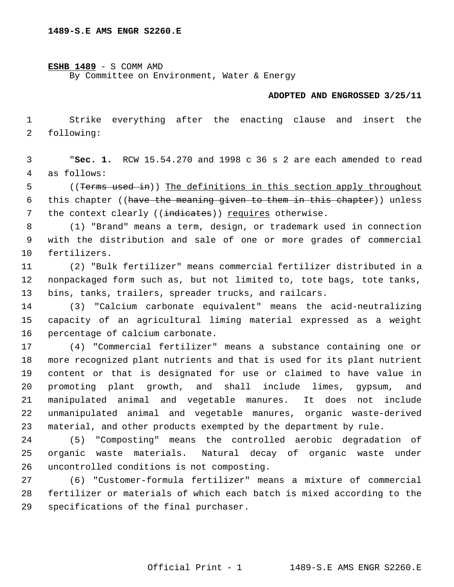## **ESHB 1489** - S COMM AMD

By Committee on Environment, Water & Energy

## **ADOPTED AND ENGROSSED 3/25/11**

 Strike everything after the enacting clause and insert the following:

 "**Sec. 1.** RCW 15.54.270 and 1998 c 36 s 2 are each amended to read as follows:

 ((Terms used in)) The definitions in this section apply throughout this chapter ((have the meaning given to them in this chapter)) unless 7 the context clearly ((indicates)) requires otherwise.

- (1) "Brand" means a term, design, or trademark used in connection with the distribution and sale of one or more grades of commercial fertilizers.
- (2) "Bulk fertilizer" means commercial fertilizer distributed in a nonpackaged form such as, but not limited to, tote bags, tote tanks, bins, tanks, trailers, spreader trucks, and railcars.
- (3) "Calcium carbonate equivalent" means the acid-neutralizing capacity of an agricultural liming material expressed as a weight percentage of calcium carbonate.
- (4) "Commercial fertilizer" means a substance containing one or more recognized plant nutrients and that is used for its plant nutrient content or that is designated for use or claimed to have value in promoting plant growth, and shall include limes, gypsum, and manipulated animal and vegetable manures. It does not include unmanipulated animal and vegetable manures, organic waste-derived material, and other products exempted by the department by rule.
- (5) "Composting" means the controlled aerobic degradation of organic waste materials. Natural decay of organic waste under uncontrolled conditions is not composting.
- (6) "Customer-formula fertilizer" means a mixture of commercial fertilizer or materials of which each batch is mixed according to the specifications of the final purchaser.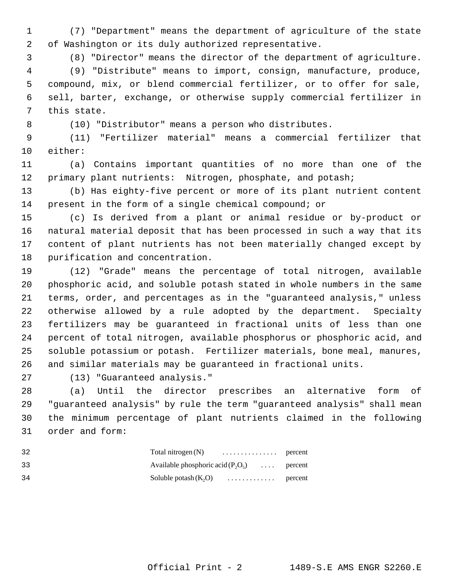(7) "Department" means the department of agriculture of the state of Washington or its duly authorized representative.

(8) "Director" means the director of the department of agriculture.

 (9) "Distribute" means to import, consign, manufacture, produce, compound, mix, or blend commercial fertilizer, or to offer for sale, sell, barter, exchange, or otherwise supply commercial fertilizer in this state.

(10) "Distributor" means a person who distributes.

 (11) "Fertilizer material" means a commercial fertilizer that either:

 (a) Contains important quantities of no more than one of the 12 primary plant nutrients: Nitrogen, phosphate, and potash;

 (b) Has eighty-five percent or more of its plant nutrient content present in the form of a single chemical compound; or

 (c) Is derived from a plant or animal residue or by-product or natural material deposit that has been processed in such a way that its content of plant nutrients has not been materially changed except by purification and concentration.

 (12) "Grade" means the percentage of total nitrogen, available phosphoric acid, and soluble potash stated in whole numbers in the same terms, order, and percentages as in the "guaranteed analysis," unless otherwise allowed by a rule adopted by the department. Specialty fertilizers may be guaranteed in fractional units of less than one percent of total nitrogen, available phosphorus or phosphoric acid, and soluble potassium or potash. Fertilizer materials, bone meal, manures, and similar materials may be guaranteed in fractional units.

(13) "Guaranteed analysis."

 (a) Until the director prescribes an alternative form of "guaranteed analysis" by rule the term "guaranteed analysis" shall mean the minimum percentage of plant nutrients claimed in the following order and form:

| -32 | Total nitrogen $(N)$ percent                 |  |
|-----|----------------------------------------------|--|
| 33  | Available phosphoric acid $(P_2O_5)$ percent |  |
| -34 | Soluble potash $(K, O)$ percent              |  |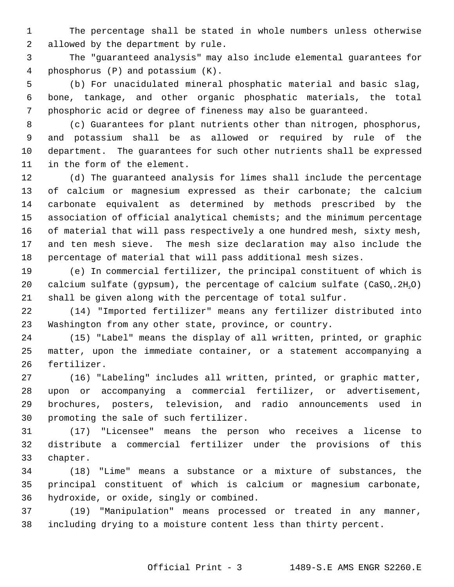The percentage shall be stated in whole numbers unless otherwise allowed by the department by rule.

 The "guaranteed analysis" may also include elemental guarantees for phosphorus (P) and potassium (K).

 (b) For unacidulated mineral phosphatic material and basic slag, bone, tankage, and other organic phosphatic materials, the total phosphoric acid or degree of fineness may also be guaranteed.

 (c) Guarantees for plant nutrients other than nitrogen, phosphorus, and potassium shall be as allowed or required by rule of the department. The guarantees for such other nutrients shall be expressed in the form of the element.

 (d) The guaranteed analysis for limes shall include the percentage of calcium or magnesium expressed as their carbonate; the calcium carbonate equivalent as determined by methods prescribed by the association of official analytical chemists; and the minimum percentage of material that will pass respectively a one hundred mesh, sixty mesh, and ten mesh sieve. The mesh size declaration may also include the percentage of material that will pass additional mesh sizes.

 (e) In commercial fertilizer, the principal constituent of which is 20 calcium sulfate (gypsum), the percentage of calcium sulfate (CaSO<sub>4</sub>.2H<sub>2</sub>O) shall be given along with the percentage of total sulfur.

 (14) "Imported fertilizer" means any fertilizer distributed into Washington from any other state, province, or country.

 (15) "Label" means the display of all written, printed, or graphic matter, upon the immediate container, or a statement accompanying a fertilizer.

 (16) "Labeling" includes all written, printed, or graphic matter, upon or accompanying a commercial fertilizer, or advertisement, brochures, posters, television, and radio announcements used in promoting the sale of such fertilizer.

 (17) "Licensee" means the person who receives a license to distribute a commercial fertilizer under the provisions of this chapter.

 (18) "Lime" means a substance or a mixture of substances, the principal constituent of which is calcium or magnesium carbonate, hydroxide, or oxide, singly or combined.

 (19) "Manipulation" means processed or treated in any manner, including drying to a moisture content less than thirty percent.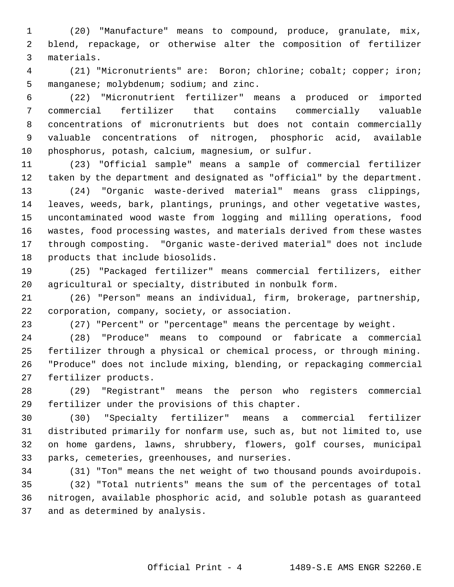(20) "Manufacture" means to compound, produce, granulate, mix, blend, repackage, or otherwise alter the composition of fertilizer materials.

 (21) "Micronutrients" are: Boron; chlorine; cobalt; copper; iron; 5 manganese; molybdenum; sodium; and zinc.

 (22) "Micronutrient fertilizer" means a produced or imported commercial fertilizer that contains commercially valuable concentrations of micronutrients but does not contain commercially valuable concentrations of nitrogen, phosphoric acid, available phosphorus, potash, calcium, magnesium, or sulfur.

 (23) "Official sample" means a sample of commercial fertilizer taken by the department and designated as "official" by the department.

 (24) "Organic waste-derived material" means grass clippings, leaves, weeds, bark, plantings, prunings, and other vegetative wastes, uncontaminated wood waste from logging and milling operations, food wastes, food processing wastes, and materials derived from these wastes through composting. "Organic waste-derived material" does not include products that include biosolids.

 (25) "Packaged fertilizer" means commercial fertilizers, either agricultural or specialty, distributed in nonbulk form.

 (26) "Person" means an individual, firm, brokerage, partnership, corporation, company, society, or association.

(27) "Percent" or "percentage" means the percentage by weight.

 (28) "Produce" means to compound or fabricate a commercial fertilizer through a physical or chemical process, or through mining. "Produce" does not include mixing, blending, or repackaging commercial fertilizer products.

 (29) "Registrant" means the person who registers commercial fertilizer under the provisions of this chapter.

 (30) "Specialty fertilizer" means a commercial fertilizer distributed primarily for nonfarm use, such as, but not limited to, use on home gardens, lawns, shrubbery, flowers, golf courses, municipal parks, cemeteries, greenhouses, and nurseries.

(31) "Ton" means the net weight of two thousand pounds avoirdupois.

 (32) "Total nutrients" means the sum of the percentages of total nitrogen, available phosphoric acid, and soluble potash as guaranteed and as determined by analysis.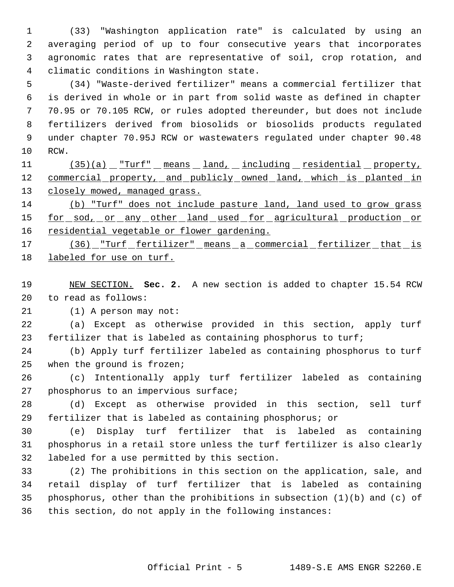(33) "Washington application rate" is calculated by using an averaging period of up to four consecutive years that incorporates agronomic rates that are representative of soil, crop rotation, and climatic conditions in Washington state.

 (34) "Waste-derived fertilizer" means a commercial fertilizer that is derived in whole or in part from solid waste as defined in chapter 70.95 or 70.105 RCW, or rules adopted thereunder, but does not include fertilizers derived from biosolids or biosolids products regulated under chapter 70.95J RCW or wastewaters regulated under chapter 90.48 RCW.

11 (35)(a) "Turf" means land, including residential property, 12 commercial property, and publicly owned land, which is planted in 13 closely mowed, managed grass.

 (b) "Turf" does not include pasture land, land used to grow grass 15 for sod, or any other land used for agricultural production or 16 residential vegetable or flower gardening.

17 (36) "Turf fertilizer" means a commercial fertilizer that is labeled for use on turf.

 NEW SECTION. **Sec. 2.** A new section is added to chapter 15.54 RCW to read as follows:

(1) A person may not:

 (a) Except as otherwise provided in this section, apply turf fertilizer that is labeled as containing phosphorus to turf;

 (b) Apply turf fertilizer labeled as containing phosphorus to turf when the ground is frozen;

 (c) Intentionally apply turf fertilizer labeled as containing phosphorus to an impervious surface;

 (d) Except as otherwise provided in this section, sell turf fertilizer that is labeled as containing phosphorus; or

 (e) Display turf fertilizer that is labeled as containing phosphorus in a retail store unless the turf fertilizer is also clearly labeled for a use permitted by this section.

 (2) The prohibitions in this section on the application, sale, and retail display of turf fertilizer that is labeled as containing 35 phosphorus, other than the prohibitions in subsection  $(1)(b)$  and  $(c)$  of this section, do not apply in the following instances: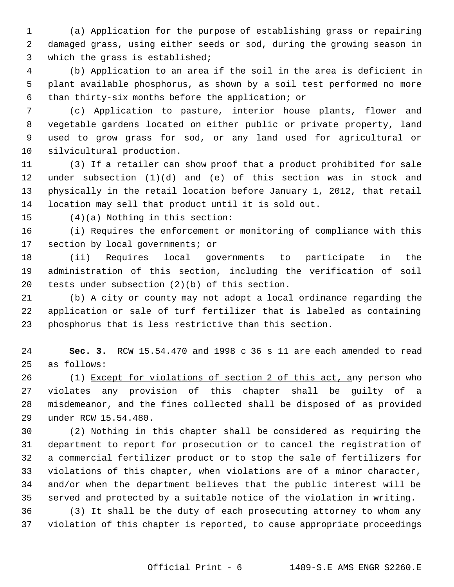(a) Application for the purpose of establishing grass or repairing damaged grass, using either seeds or sod, during the growing season in which the grass is established;

 (b) Application to an area if the soil in the area is deficient in plant available phosphorus, as shown by a soil test performed no more than thirty-six months before the application; or

 (c) Application to pasture, interior house plants, flower and vegetable gardens located on either public or private property, land used to grow grass for sod, or any land used for agricultural or silvicultural production.

 (3) If a retailer can show proof that a product prohibited for sale under subsection (1)(d) and (e) of this section was in stock and physically in the retail location before January 1, 2012, that retail location may sell that product until it is sold out.

(4)(a) Nothing in this section:

 (i) Requires the enforcement or monitoring of compliance with this section by local governments; or

 (ii) Requires local governments to participate in the administration of this section, including the verification of soil tests under subsection (2)(b) of this section.

 (b) A city or county may not adopt a local ordinance regarding the application or sale of turf fertilizer that is labeled as containing phosphorus that is less restrictive than this section.

 **Sec. 3.** RCW 15.54.470 and 1998 c 36 s 11 are each amended to read as follows:

26 (1) Except for violations of section 2 of this act, any person who violates any provision of this chapter shall be guilty of a misdemeanor, and the fines collected shall be disposed of as provided under RCW 15.54.480.

 (2) Nothing in this chapter shall be considered as requiring the department to report for prosecution or to cancel the registration of a commercial fertilizer product or to stop the sale of fertilizers for violations of this chapter, when violations are of a minor character, and/or when the department believes that the public interest will be served and protected by a suitable notice of the violation in writing.

 (3) It shall be the duty of each prosecuting attorney to whom any violation of this chapter is reported, to cause appropriate proceedings